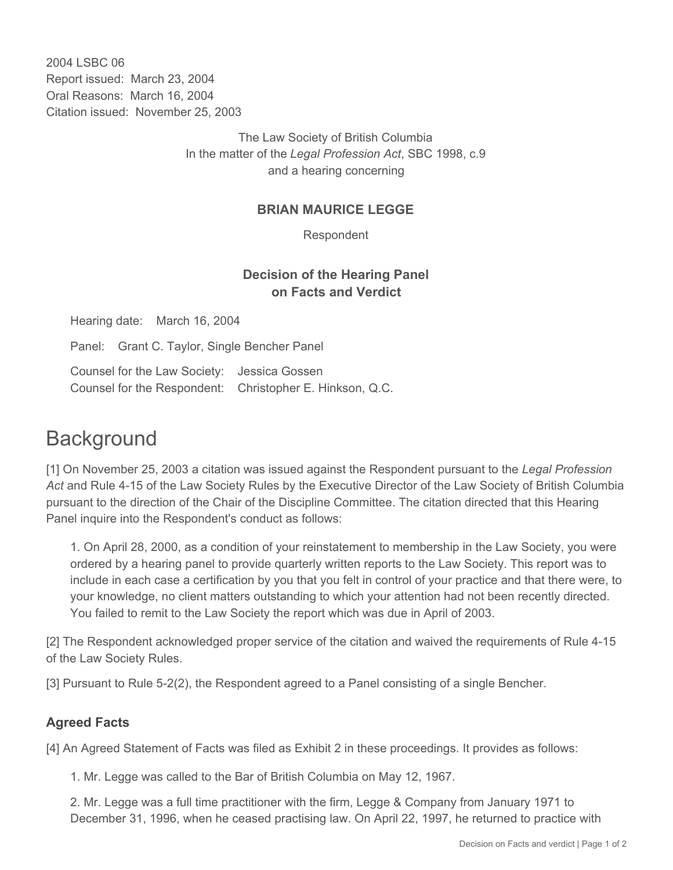2004 LSBC 06 Report issued: March 23, 2004 Oral Reasons: March 16, 2004 Citation issued: November 25, 2003

> The Law Society of British Columbia In the matter of the *Legal Profession Act*, SBC 1998, c.9 and a hearing concerning

## **BRIAN MAURICE LEGGE**

Respondent

## **Decision of the Hearing Panel on Facts and Verdict**

Hearing date: March 16, 2004 Panel: Grant C. Taylor, Single Bencher Panel Counsel for the Law Society: Jessica Gossen Counsel for the Respondent: Christopher E. Hinkson, Q.C.

## **Background**

[1] On November 25, 2003 a citation was issued against the Respondent pursuant to the *Legal Profession Act* and Rule 4-15 of the Law Society Rules by the Executive Director of the Law Society of British Columbia pursuant to the direction of the Chair of the Discipline Committee. The citation directed that this Hearing Panel inquire into the Respondent's conduct as follows:

1. On April 28, 2000, as a condition of your reinstatement to membership in the Law Society, you were ordered by a hearing panel to provide quarterly written reports to the Law Society. This report was to include in each case a certification by you that you felt in control of your practice and that there were, to your knowledge, no client matters outstanding to which your attention had not been recently directed. You failed to remit to the Law Society the report which was due in April of 2003.

[2] The Respondent acknowledged proper service of the citation and waived the requirements of Rule 4-15 of the Law Society Rules.

[3] Pursuant to Rule 5-2(2), the Respondent agreed to a Panel consisting of a single Bencher.

## **Agreed Facts**

[4] An Agreed Statement of Facts was filed as Exhibit 2 in these proceedings. It provides as follows:

1. Mr. Legge was called to the Bar of British Columbia on May 12, 1967.

2. Mr. Legge was a full time practitioner with the firm, Legge & Company from January 1971 to December 31, 1996, when he ceased practising law. On April 22, 1997, he returned to practice with